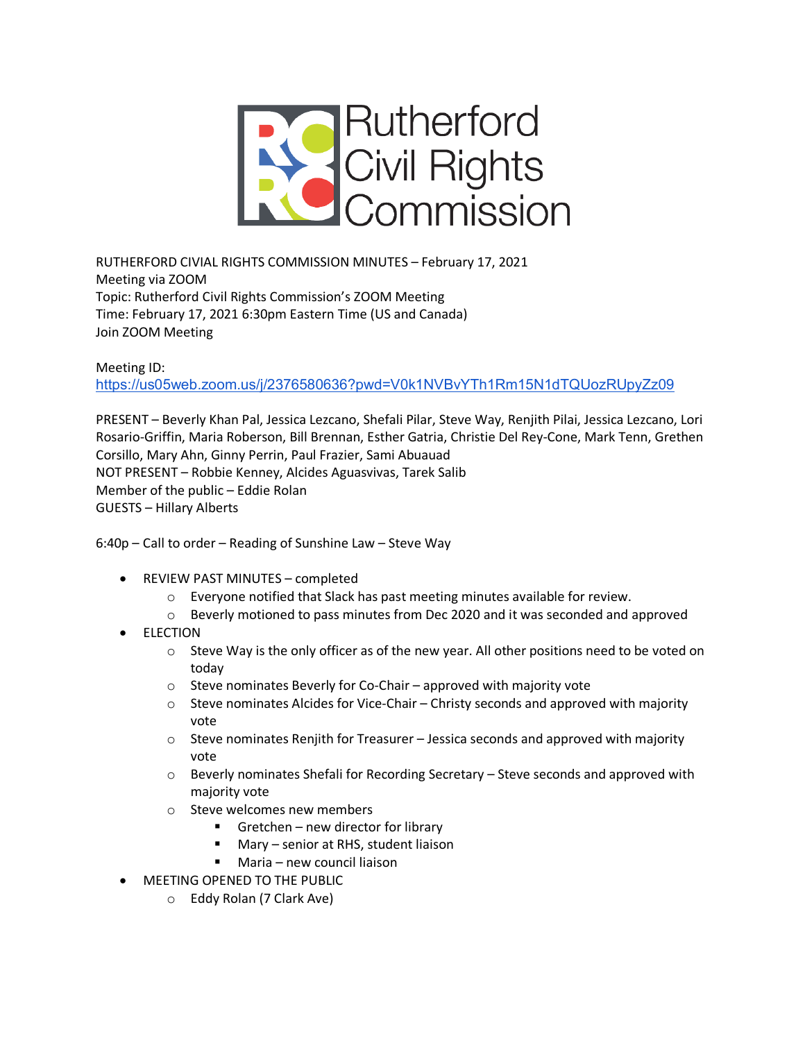

RUTHERFORD CIVIAL RIGHTS COMMISSION MINUTES – February 17, 2021 Meeting via ZOOM Topic: Rutherford Civil Rights Commission's ZOOM Meeting Time: February 17, 2021 6:30pm Eastern Time (US and Canada) Join ZOOM Meeting

Meeting ID:

https://us05web.zoom.us/j/2376580636?pwd=V0k1NVBvYTh1Rm15N1dTQUozRUpyZz09

PRESENT – Beverly Khan Pal, Jessica Lezcano, Shefali Pilar, Steve Way, Renjith Pilai, Jessica Lezcano, Lori Rosario-Griffin, Maria Roberson, Bill Brennan, Esther Gatria, Christie Del Rey-Cone, Mark Tenn, Grethen Corsillo, Mary Ahn, Ginny Perrin, Paul Frazier, Sami Abuauad NOT PRESENT – Robbie Kenney, Alcides Aguasvivas, Tarek Salib Member of the public – Eddie Rolan GUESTS – Hillary Alberts

6:40p – Call to order – Reading of Sunshine Law – Steve Way

- REVIEW PAST MINUTES completed
	- o Everyone notified that Slack has past meeting minutes available for review.
	- o Beverly motioned to pass minutes from Dec 2020 and it was seconded and approved
- **ELECTION** 
	- $\circ$  Steve Way is the only officer as of the new year. All other positions need to be voted on today
	- o Steve nominates Beverly for Co-Chair approved with majority vote
	- $\circ$  Steve nominates Alcides for Vice-Chair Christy seconds and approved with majority vote
	- $\circ$  Steve nominates Renjith for Treasurer Jessica seconds and approved with majority vote
	- o Beverly nominates Shefali for Recording Secretary Steve seconds and approved with majority vote
	- o Steve welcomes new members
		- Gretchen new director for library
		- Mary senior at RHS, student liaison
		- Maria new council liaison
- MEETING OPENED TO THE PUBLIC
	- o Eddy Rolan (7 Clark Ave)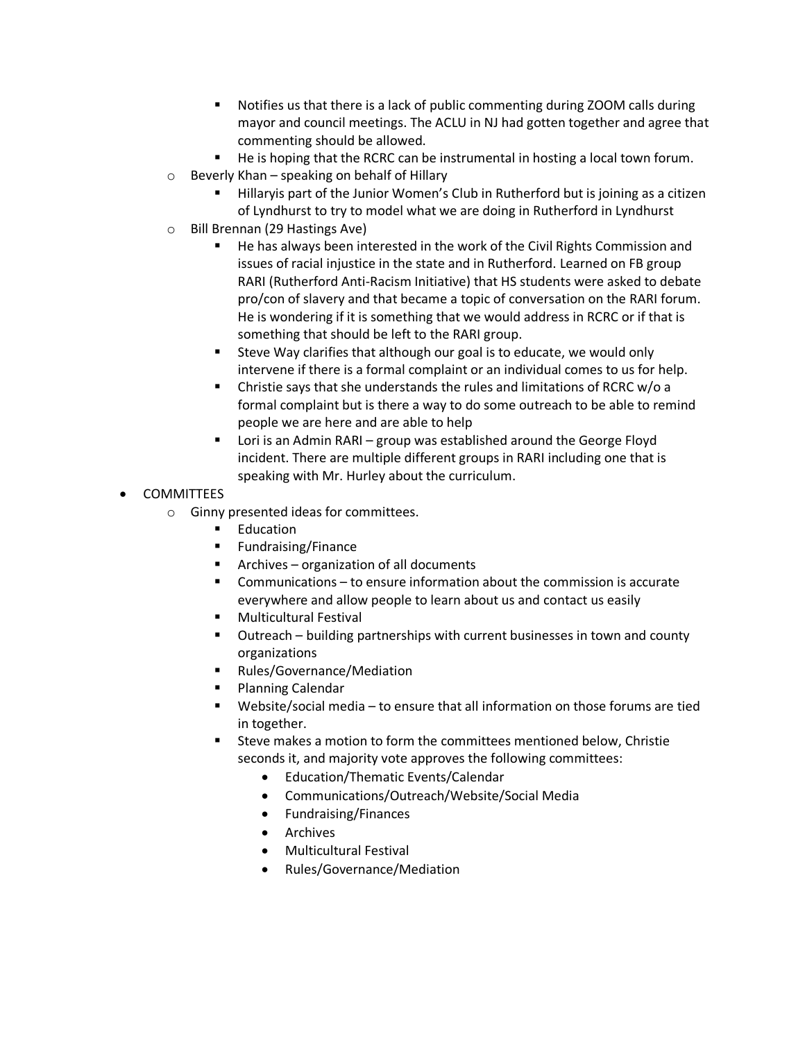- Notifies us that there is a lack of public commenting during ZOOM calls during mayor and council meetings. The ACLU in NJ had gotten together and agree that commenting should be allowed.
- He is hoping that the RCRC can be instrumental in hosting a local town forum.
- $\circ$  Beverly Khan speaking on behalf of Hillary
	- Hillaryis part of the Junior Women's Club in Rutherford but is joining as a citizen of Lyndhurst to try to model what we are doing in Rutherford in Lyndhurst
- o Bill Brennan (29 Hastings Ave)
	- § He has always been interested in the work of the Civil Rights Commission and issues of racial injustice in the state and in Rutherford. Learned on FB group RARI (Rutherford Anti-Racism Initiative) that HS students were asked to debate pro/con of slavery and that became a topic of conversation on the RARI forum. He is wondering if it is something that we would address in RCRC or if that is something that should be left to the RARI group.
	- Steve Way clarifies that although our goal is to educate, we would only intervene if there is a formal complaint or an individual comes to us for help.
	- § Christie says that she understands the rules and limitations of RCRC w/o a formal complaint but is there a way to do some outreach to be able to remind people we are here and are able to help
	- Lori is an Admin RARI group was established around the George Floyd incident. There are multiple different groups in RARI including one that is speaking with Mr. Hurley about the curriculum.
- COMMITTEES
	- o Ginny presented ideas for committees.
		- Education
		- Fundraising/Finance
		- Archives organization of all documents
		- Communications to ensure information about the commission is accurate everywhere and allow people to learn about us and contact us easily
		- Multicultural Festival
		- Outreach building partnerships with current businesses in town and county organizations
		- Rules/Governance/Mediation
		- Planning Calendar
		- § Website/social media to ensure that all information on those forums are tied in together.
		- § Steve makes a motion to form the committees mentioned below, Christie seconds it, and majority vote approves the following committees:
			- Education/Thematic Events/Calendar
			- Communications/Outreach/Website/Social Media
			- Fundraising/Finances
			- Archives
			- Multicultural Festival
			- Rules/Governance/Mediation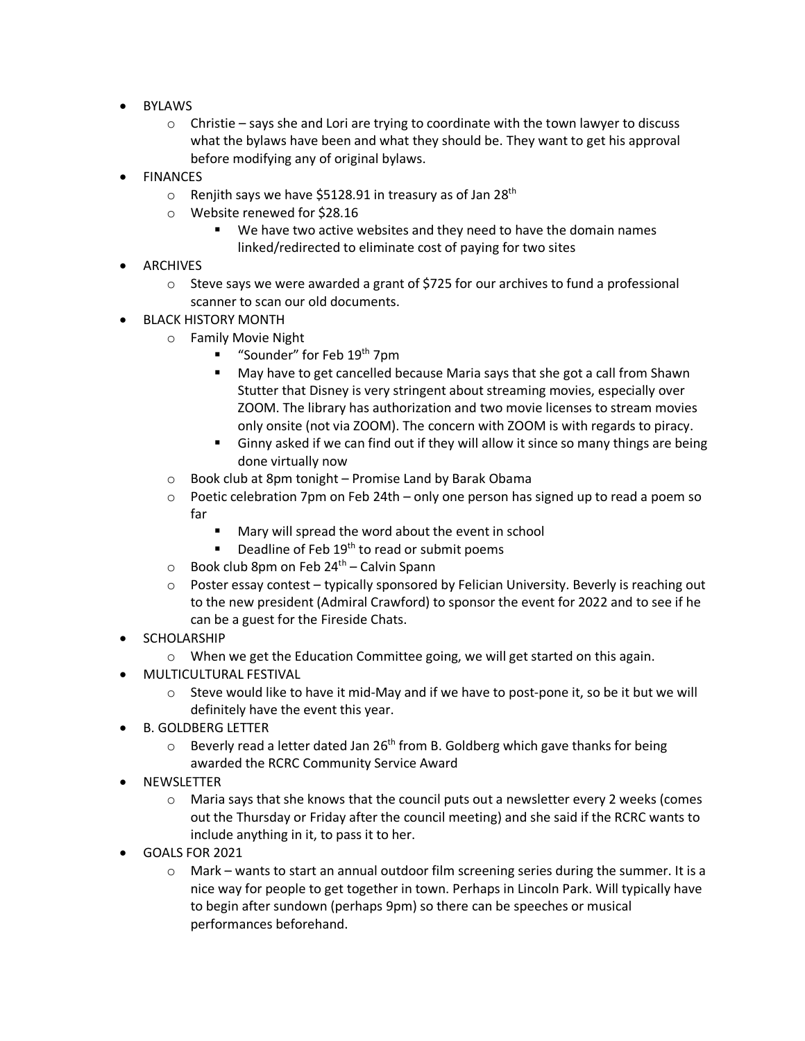- BYLAWS
	- o Christie says she and Lori are trying to coordinate with the town lawyer to discuss what the bylaws have been and what they should be. They want to get his approval before modifying any of original bylaws.
- **FINANCES** 
	- $\circ$  Renjith says we have \$5128.91 in treasury as of Jan 28<sup>th</sup>
	- o Website renewed for \$28.16
		- We have two active websites and they need to have the domain names linked/redirected to eliminate cost of paying for two sites
- **ARCHIVES** 
	- $\circ$  Steve says we were awarded a grant of \$725 for our archives to fund a professional scanner to scan our old documents.
- BLACK HISTORY MONTH
	- o Family Movie Night
		- "Sounder" for Feb 19<sup>th</sup> 7pm
		- May have to get cancelled because Maria says that she got a call from Shawn Stutter that Disney is very stringent about streaming movies, especially over ZOOM. The library has authorization and two movie licenses to stream movies only onsite (not via ZOOM). The concern with ZOOM is with regards to piracy.
		- **•** Ginny asked if we can find out if they will allow it since so many things are being done virtually now
	- o Book club at 8pm tonight Promise Land by Barak Obama
	- $\circ$  Poetic celebration 7pm on Feb 24th only one person has signed up to read a poem so far
		- Mary will spread the word about the event in school
		- **•** Deadline of Feb  $19<sup>th</sup>$  to read or submit poems
	- $\circ$  Book club 8pm on Feb 24<sup>th</sup> Calvin Spann
	- o Poster essay contest typically sponsored by Felician University. Beverly is reaching out to the new president (Admiral Crawford) to sponsor the event for 2022 and to see if he can be a guest for the Fireside Chats.
- SCHOLARSHIP
	- o When we get the Education Committee going, we will get started on this again.
- MULTICULTURAL FESTIVAL
	- o Steve would like to have it mid-May and if we have to post-pone it, so be it but we will definitely have the event this year.
- B. GOLDBERG LETTER
	- $\circ$  Beverly read a letter dated Jan 26<sup>th</sup> from B. Goldberg which gave thanks for being awarded the RCRC Community Service Award
- **NEWSLETTER** 
	- o Maria says that she knows that the council puts out a newsletter every 2 weeks (comes out the Thursday or Friday after the council meeting) and she said if the RCRC wants to include anything in it, to pass it to her.
- GOALS FOR 2021
	- o Mark wants to start an annual outdoor film screening series during the summer. It is a nice way for people to get together in town. Perhaps in Lincoln Park. Will typically have to begin after sundown (perhaps 9pm) so there can be speeches or musical performances beforehand.